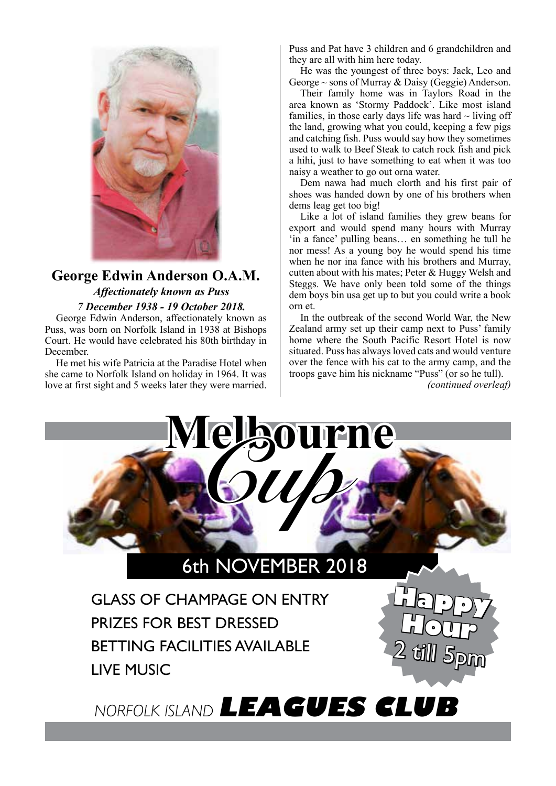

## **George Edwin Anderson O.A.M.** *Affectionately known as Puss 7 December 1938 - 19 October 2018.*

George Edwin Anderson, affectionately known as Puss, was born on Norfolk Island in 1938 at Bishops Court. He would have celebrated his 80th birthday in December.

He met his wife Patricia at the Paradise Hotel when she came to Norfolk Island on holiday in 1964. It was love at first sight and 5 weeks later they were married.

Puss and Pat have 3 children and 6 grandchildren and they are all with him here today.

He was the youngest of three boys: Jack, Leo and George  $\sim$  sons of Murray & Daisy (Geggie) Anderson.

Their family home was in Taylors Road in the area known as 'Stormy Paddock'. Like most island families, in those early days life was hard  $\sim$  living off the land, growing what you could, keeping a few pigs and catching fish. Puss would say how they sometimes used to walk to Beef Steak to catch rock fish and pick a hihi, just to have something to eat when it was too naisy a weather to go out orna water.

Dem nawa had much clorth and his first pair of shoes was handed down by one of his brothers when dems leag get too big!

Like a lot of island families they grew beans for export and would spend many hours with Murray 'in a fance' pulling beans… en something he tull he nor mess! As a young boy he would spend his time when he nor ina fance with his brothers and Murray, cutten about with his mates; Peter & Huggy Welsh and Steggs. We have only been told some of the things dem boys bin usa get up to but you could write a book orn et.

In the outbreak of the second World War, the New Zealand army set up their camp next to Puss' family home where the South Pacific Resort Hotel is now situated. Puss has always loved cats and would venture over the fence with his cat to the army camp, and the troops gave him his nickname "Puss" (or so he tull).

*(continued overleaf)*



## 6th NOVEMBER 2018

GLASS OF CHAMPAGE ON ENTRY PRIZES FOR BEST DRESSED BETTING FACILITIES AVAILABLE LIVE MUSIC

**Happy Hour** 2 till 5pm

*NORFOLK ISLAND* **LEAGUES CLUB**